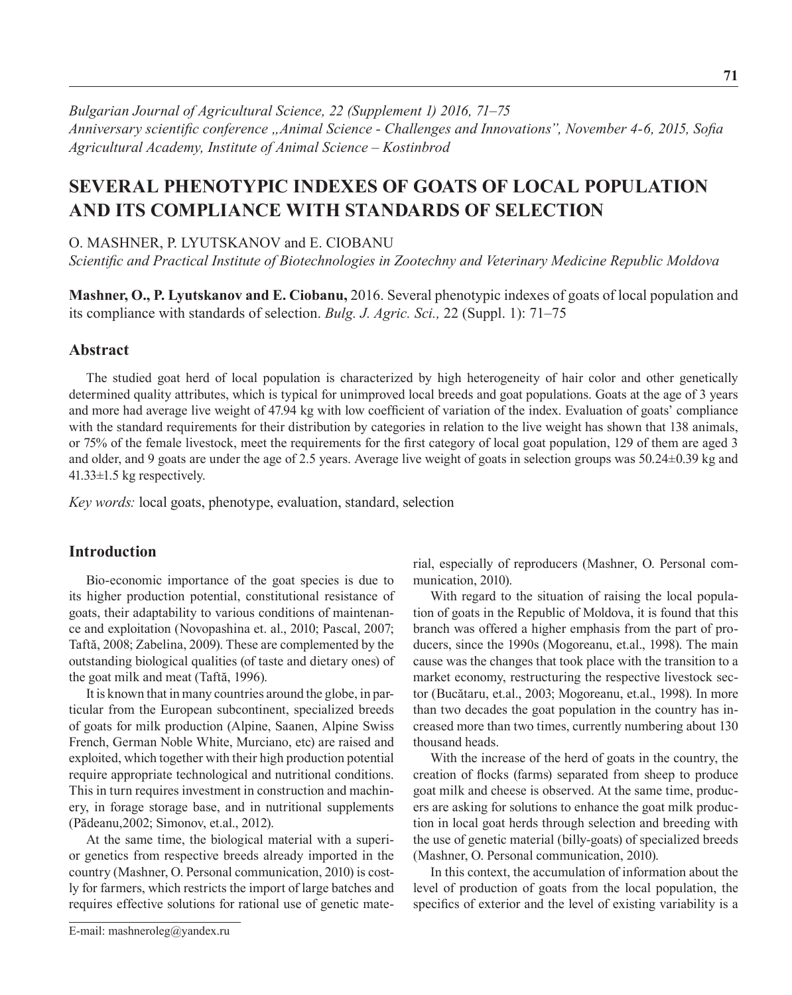*Bulgarian Journal of Agricultural Science, 22 (Supplement 1) 2016, 71–75 Anniversary scientific conference "Animal Science - Challenges and Innovations", November 4-6, 2015, Sofia Agricultural Academy, Institute оf Animal Science – Kostinbrod*

# **SEVERAL PHENOTYPIC INDEXES OF GOATS OF LOCAL POPULATION AND ITS COMPLIANCE WITH STANDARDS OF SELECTION**

O. MASHNER, P. LYUTSKANOV and E. CIOBANU

*Scientific and Practical Institute of Biotechnologies in Zootechny and Veterinary Medicine Republic Moldova*

**Mashner, O., P. Lyutskanov and E. Ciobanu,** 2016. Several phenotypic indexes of goats of local population and its compliance with standards of selection. *Bulg. J. Agric. Sci.,* 22 (Suppl. 1): 71–75

#### **Abstract**

The studied goat herd of local population is characterized by high heterogeneity of hair color and other genetically determined quality attributes, which is typical for unimproved local breeds and goat populations. Goats at the age of 3 years and more had average live weight of 47.94 kg with low coefficient of variation of the index. Evaluation of goats' compliance with the standard requirements for their distribution by categories in relation to the live weight has shown that 138 animals, or 75% of the female livestock, meet the requirements for the first category of local goat population, 129 of them are aged 3 and older, and 9 goats are under the age of 2.5 years. Average live weight of goats in selection groups was 50.24±0.39 kg and 41.33±1.5 kg respectively.

*Key words:* local goats, phenotype, evaluation, standard, selection

# **Introduction**

Bio-economic importance of the goat species is due to its higher production potential, constitutional resistance of goats, their adaptability to various conditions of maintenance and exploitation (Novopashina et. al., 2010; Pascal, 2007; Taftă, 2008; Zabelina, 2009). These are complemented by the outstanding biological qualities (of taste and dietary ones) of the goat milk and meat (Taftă, 1996).

It is known that in many countries around the globe, in particular from the European subcontinent, specialized breeds of goats for milk production (Alpine, Saanen, Alpine Swiss French, German Noble White, Murciano, etc) are raised and exploited, which together with their high production potential require appropriate technological and nutritional conditions. This in turn requires investment in construction and machinery, in forage storage base, and in nutritional supplements (Pădeanu,2002; Simonov, et.al., 2012).

At the same time, the biological material with a superior genetics from respective breeds already imported in the country (Mashner, O. Personal communication, 2010) is costly for farmers, which restricts the import of large batches and requires effective solutions for rational use of genetic material, especially of reproducers (Mashner, O. Personal communication, 2010).

With regard to the situation of raising the local population of goats in the Republic of Moldova, it is found that this branch was offered a higher emphasis from the part of producers, since the 1990s (Mogoreanu, et.al., 1998). The main cause was the changes that took place with the transition to a market economy, restructuring the respective livestock sector (Bucătaru, et.al., 2003; Mogoreanu, et.al., 1998). In more than two decades the goat population in the country has increased more than two times, currently numbering about 130 thousand heads.

With the increase of the herd of goats in the country, the creation of flocks (farms) separated from sheep to produce goat milk and cheese is observed. At the same time, producers are asking for solutions to enhance the goat milk production in local goat herds through selection and breeding with the use of genetic material (billy-goats) of specialized breeds (Mashner, O. Personal communication, 2010).

In this context, the accumulation of information about the level of production of goats from the local population, the specifics of exterior and the level of existing variability is a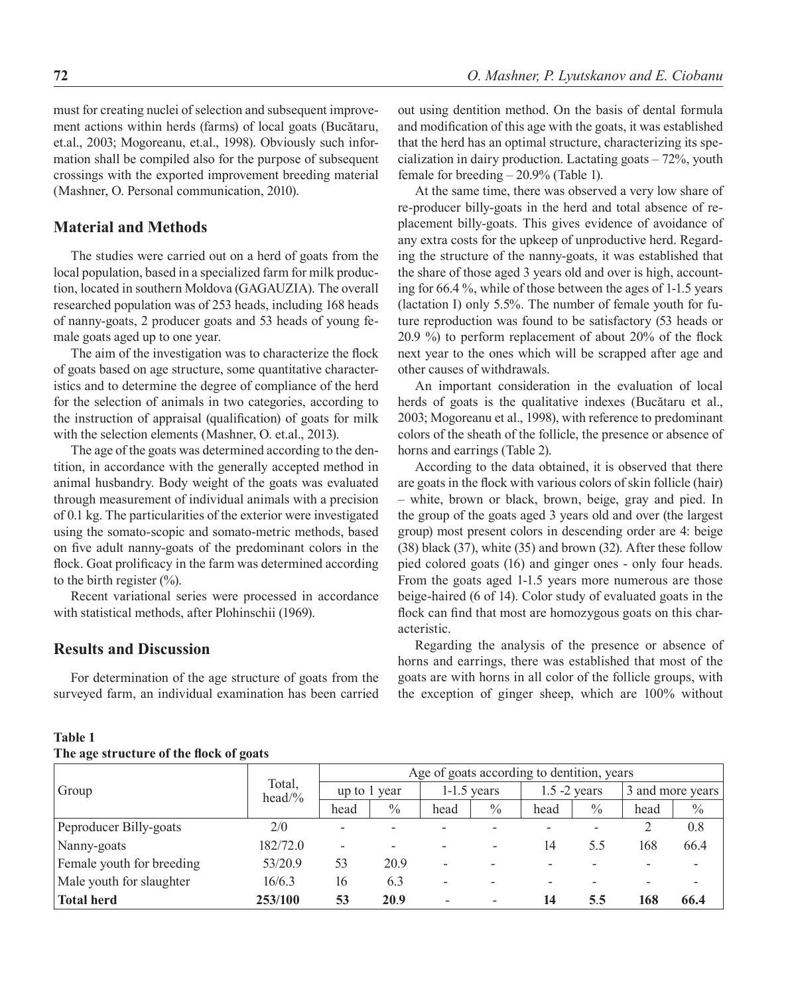must for creating nuclei of selection and subsequent improvement actions within herds (farms) of local goats (Bucătaru, et.al., 2003; Mogoreanu, et.al., 1998). Obviously such information shall be compiled also for the purpose of subsequent crossings with the exported improvement breeding material (Mashner, O. Personal communication, 2010).

# **Material and Methods**

The studies were carried out on a herd of goats from the local population, based in a specialized farm for milk production, located in southern Moldova (GAGAUZIA). The overall researched population was of 253 heads, including 168 heads of nanny-goats, 2 producer goats and 53 heads of young female goats aged up to one year.

The aim of the investigation was to characterize the flock of goats based on age structure, some quantitative characteristics and to determine the degree of compliance of the herd for the selection of animals in two categories, according to the instruction of appraisal (qualification) of goats for milk with the selection elements (Mashner, O. et.al., 2013).

The age of the goats was determined according to the dentition, in accordance with the generally accepted method in animal husbandry. Body weight of the goats was evaluated through measurement of individual animals with a precision of 0.1 kg. The particularities of the exterior were investigated using the somato-scopic and somato-metric methods, based on five adult nanny-goats of the predominant colors in the flock. Goat prolificacy in the farm was determined according to the birth register  $(\% )$ .

Recent variational series were processed in accordance with statistical methods, after Plohinschii (1969).

# **Results and Discussion**

For determination of the age structure of goats from the surveyed farm, an individual examination has been carried out using dentition method. On the basis of dental formula and modification of this age with the goats, it was established that the herd has an optimal structure, characterizing its specialization in dairy production. Lactating goats – 72%, youth female for breeding – 20.9% (Table 1).

At the same time, there was observed a very low share of re-producer billy-goats in the herd and total absence of replacement billy-goats. This gives evidence of avoidance of any extra costs for the upkeep of unproductive herd. Regarding the structure of the nanny-goats, it was established that the share of those aged 3 years old and over is high, accounting for 66.4 %, while of those between the ages of 1-1.5 years (lactation I) only 5.5%. The number of female youth for future reproduction was found to be satisfactory (53 heads or 20.9 %) to perform replacement of about 20% of the flock next year to the ones which will be scrapped after age and other causes of withdrawals.

An important consideration in the evaluation of local herds of goats is the qualitative indexes (Bucătaru et al., 2003; Mogoreanu et al., 1998), with reference to predominant colors of the sheath of the follicle, the presence or absence of horns and earrings (Table 2).

According to the data obtained, it is observed that there are goats in the flock with various colors of skin follicle (hair) – white, brown or black, brown, beige, gray and pied. In the group of the goats aged 3 years old and over (the largest group) most present colors in descending order are 4: beige (38) black (37), white (35) and brown (32). After these follow pied colored goats (16) and ginger ones - only four heads. From the goats aged 1-1.5 years more numerous are those beige-haired (6 of 14). Color study of evaluated goats in the flock can find that most are homozygous goats on this characteristic.

Regarding the analysis of the presence or absence of horns and earrings, there was established that most of the goats are with horns in all color of the follicle groups, with the exception of ginger sheep, which are 100% without

| ີ                         |          |                                            |      |               |      |                 |               |                  |      |
|---------------------------|----------|--------------------------------------------|------|---------------|------|-----------------|---------------|------------------|------|
| Group                     |          | Age of goats according to dentition, years |      |               |      |                 |               |                  |      |
|                           | $head\%$ | Total,<br>up to 1 year                     |      | $1-1.5$ years |      | $1.5 - 2$ years |               | 3 and more years |      |
|                           |          | head                                       | $\%$ | head          | $\%$ | head            | $\frac{0}{0}$ | head             | $\%$ |
| Peproducer Billy-goats    | 2/0      | -                                          |      |               |      |                 |               |                  | 0.8  |
| Nanny-goats               | 182/72.0 | $\overline{\phantom{a}}$                   |      |               | ۰    | 14              | 5.5           | 168              | 66.4 |
| Female youth for breeding | 53/20.9  | 53                                         | 20.9 |               |      |                 |               |                  |      |
| Male youth for slaughter  | 16/6.3   | 16                                         | 6.3  |               |      |                 |               |                  |      |
| <b>Total herd</b>         | 253/100  | 53                                         | 20.9 |               | -    | 14              | 5.5           | 168              | 66.4 |

### **Table 1 The age structure of the flock of goats**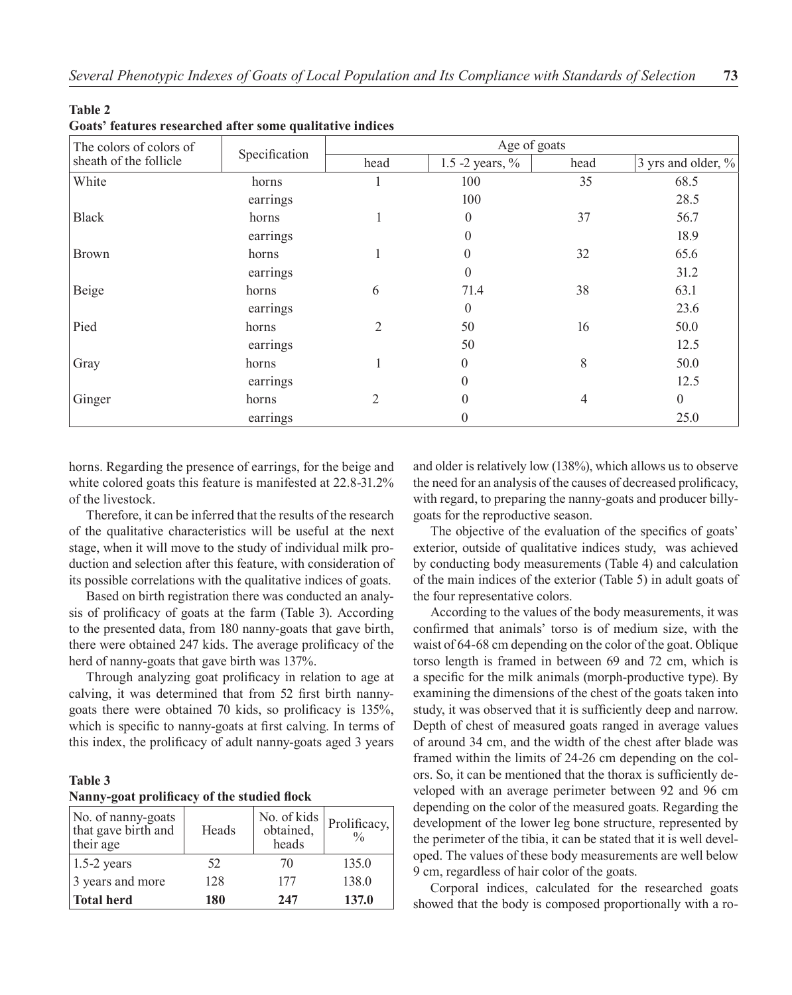| The colors of colors of |               |                | Age of goats       |      |                    |
|-------------------------|---------------|----------------|--------------------|------|--------------------|
| sheath of the follicle  | Specification | head           | 1.5 -2 years, $\%$ | head | 3 yrs and older, % |
| White                   | horns         |                | 100                | 35   | 68.5               |
|                         | earrings      |                | 100                |      | 28.5               |
| <b>Black</b>            | horns         |                | $\theta$           | 37   | 56.7               |
|                         | earrings      |                | $\theta$           |      | 18.9               |
| <b>Brown</b>            | horns         |                | $\overline{0}$     | 32   | 65.6               |
|                         | earrings      |                | $\theta$           |      | 31.2               |
| Beige                   | horns         | 6              | 71.4               | 38   | 63.1               |
|                         | earrings      |                | $\theta$           |      | 23.6               |
| Pied                    | horns         | 2              | 50                 | 16   | 50.0               |
|                         | earrings      |                | 50                 |      | 12.5               |
| Gray                    | horns         |                | $\theta$           | 8    | 50.0               |
|                         | earrings      |                | $\theta$           |      | 12.5               |
| Ginger                  | horns         | $\overline{2}$ | $\theta$           | 4    | $\overline{0}$     |
|                         | earrings      |                | 0                  |      | 25.0               |

**Table 2 Goats' features researched after some qualitative indices** 

horns. Regarding the presence of earrings, for the beige and white colored goats this feature is manifested at 22.8-31.2% of the livestock.

Therefore, it can be inferred that the results of the research of the qualitative characteristics will be useful at the next stage, when it will move to the study of individual milk production and selection after this feature, with consideration of its possible correlations with the qualitative indices of goats.

Based on birth registration there was conducted an analysis of prolificacy of goats at the farm (Table 3). According to the presented data, from 180 nanny-goats that gave birth, there were obtained 247 kids. The average prolificacy of the herd of nanny-goats that gave birth was 137%.

Through analyzing goat prolificacy in relation to age at calving, it was determined that from 52 first birth nannygoats there were obtained 70 kids, so prolificacy is 135%, which is specific to nanny-goats at first calving. In terms of this index, the prolificacy of adult nanny-goats aged 3 years

#### **Table 3 Nanny-goat prolificacy of the studied flock**

| No. of nanny-goats<br>that gave birth and<br>their age | Heads | No. of kids<br>obtained,<br>heads | Prolificacy,<br>$\frac{0}{0}$ |
|--------------------------------------------------------|-------|-----------------------------------|-------------------------------|
| $1.5-2$ years                                          | 52    | 70                                | 135.0                         |
| 3 years and more                                       | 128   | 177                               | 138.0                         |
| <b>Total herd</b>                                      | 180   | 247                               | 137.0                         |

and older is relatively low (138%), which allows us to observe the need for an analysis of the causes of decreased prolificacy, with regard, to preparing the nanny-goats and producer billygoats for the reproductive season.

The objective of the evaluation of the specifics of goats' exterior, outside of qualitative indices study, was achieved by conducting body measurements (Table 4) and calculation of the main indices of the exterior (Table 5) in adult goats of the four representative colors.

According to the values of the body measurements, it was confirmed that animals' torso is of medium size, with the waist of 64-68 cm depending on the color of the goat. Oblique torso length is framed in between 69 and 72 cm, which is a specific for the milk animals (morph-productive type). By examining the dimensions of the chest of the goats taken into study, it was observed that it is sufficiently deep and narrow. Depth of chest of measured goats ranged in average values of around 34 cm, and the width of the chest after blade was framed within the limits of 24-26 cm depending on the colors. So, it can be mentioned that the thorax is sufficiently developed with an average perimeter between 92 and 96 cm depending on the color of the measured goats. Regarding the development of the lower leg bone structure, represented by the perimeter of the tibia, it can be stated that it is well developed. The values of these body measurements are well below 9 cm, regardless of hair color of the goats.

Corporal indices, calculated for the researched goats showed that the body is composed proportionally with a ro-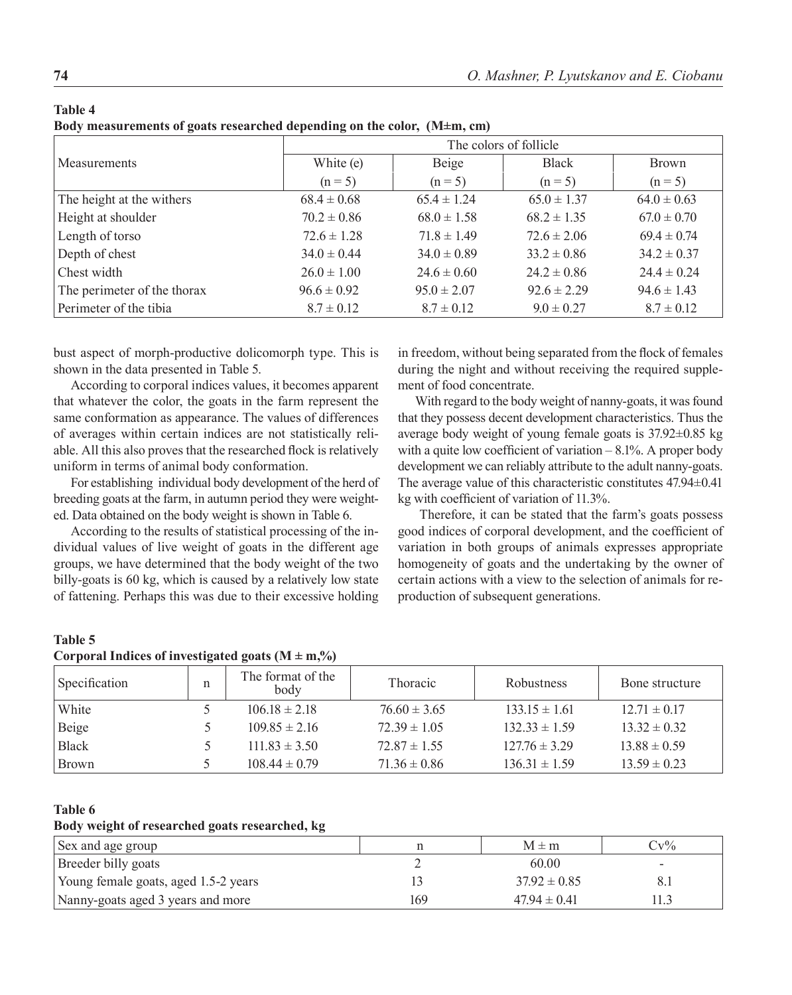| v<br>۰,<br>٧<br>×<br>I |  |
|------------------------|--|
|------------------------|--|

**Body measurements of goats researched depending on the color, (M±m, cm)**

|                             | The colors of follicle |                 |                 |                 |  |  |  |  |
|-----------------------------|------------------------|-----------------|-----------------|-----------------|--|--|--|--|
| <b>Measurements</b>         | White (e)              | Beige           | <b>Black</b>    | <b>Brown</b>    |  |  |  |  |
|                             | $(n = 5)$              | $(n = 5)$       | $(n = 5)$       | $(n = 5)$       |  |  |  |  |
| The height at the withers   | $68.4 \pm 0.68$        | $65.4 \pm 1.24$ | $65.0 \pm 1.37$ | $64.0 \pm 0.63$ |  |  |  |  |
| Height at shoulder          | $70.2 \pm 0.86$        | $68.0 \pm 1.58$ | $68.2 \pm 1.35$ | $67.0 \pm 0.70$ |  |  |  |  |
| Length of torso             | $72.6 \pm 1.28$        | $71.8 \pm 1.49$ | $72.6 \pm 2.06$ | $69.4 \pm 0.74$ |  |  |  |  |
| Depth of chest              | $34.0 \pm 0.44$        | $34.0 \pm 0.89$ | $33.2 \pm 0.86$ | $34.2 \pm 0.37$ |  |  |  |  |
| Chest width                 | $26.0 \pm 1.00$        | $24.6 \pm 0.60$ | $24.2 \pm 0.86$ | $24.4 \pm 0.24$ |  |  |  |  |
| The perimeter of the thorax | $96.6 \pm 0.92$        | $95.0 \pm 2.07$ | $92.6 \pm 2.29$ | $94.6 \pm 1.43$ |  |  |  |  |
| Perimeter of the tibia      | $8.7 \pm 0.12$         | $8.7 \pm 0.12$  | $9.0 \pm 0.27$  | $8.7 \pm 0.12$  |  |  |  |  |

bust aspect of morph-productive dolicomorph type. This is shown in the data presented in Table 5.

According to corporal indices values, it becomes apparent that whatever the color, the goats in the farm represent the same conformation as appearance. The values of differences of averages within certain indices are not statistically reliable. All this also proves that the researched flock is relatively uniform in terms of animal body conformation.

For establishing individual body development of the herd of breeding goats at the farm, in autumn period they were weighted. Data obtained on the body weight is shown in Table 6.

According to the results of statistical processing of the individual values of live weight of goats in the different age groups, we have determined that the body weight of the two billy-goats is 60 kg, which is caused by a relatively low state of fattening. Perhaps this was due to their excessive holding

in freedom, without being separated from the flock of females during the night and without receiving the required supplement of food concentrate.

With regard to the body weight of nanny-goats, it was found that they possess decent development characteristics. Thus the average body weight of young female goats is 37.92±0.85 kg with a quite low coefficient of variation  $-8.1\%$ . A proper body development we can reliably attribute to the adult nanny-goats. The average value of this characteristic constitutes 47.94±0.41 kg with coefficient of variation of 11.3%.

Therefore, it can be stated that the farm's goats possess good indices of corporal development, and the coefficient of variation in both groups of animals expresses appropriate homogeneity of goats and the undertaking by the owner of certain actions with a view to the selection of animals for reproduction of subsequent generations.

#### **Table 5**

| Corporal Indices of investigated goats $(M \pm m,%)$ |  |  |  |
|------------------------------------------------------|--|--|--|
|------------------------------------------------------|--|--|--|

| Specification | n | The format of the<br>body | <b>Thoracic</b>  | <b>Robustness</b> | Bone structure   |
|---------------|---|---------------------------|------------------|-------------------|------------------|
| White         |   | $106.18 \pm 2.18$         | $76.60 \pm 3.65$ | $133.15 \pm 1.61$ | $12.71 \pm 0.17$ |
| Beige         |   | $109.85 \pm 2.16$         | $72.39 \pm 1.05$ | $132.33 \pm 1.59$ | $13.32 \pm 0.32$ |
| <b>Black</b>  |   | $111.83 \pm 3.50$         | $72.87 \pm 1.55$ | $127.76 \pm 3.29$ | $13.88 \pm 0.59$ |
| Brown         |   | $108.44 \pm 0.79$         | $71.36 \pm 0.86$ | $136.31 \pm 1.59$ | $13.59 \pm 0.23$ |

### **Table 6**

**Body weight of researched goats researched, kg**

| Sex and age group                    |     | $M \pm m$        | $Cv\%$ |
|--------------------------------------|-----|------------------|--------|
| Breeder billy goats                  |     | 60.00            | -      |
| Young female goats, aged 1.5-2 years |     | $37.92 \pm 0.85$ |        |
| Nanny-goats aged 3 years and more    | 169 | $47.94 \pm 0.41$ |        |